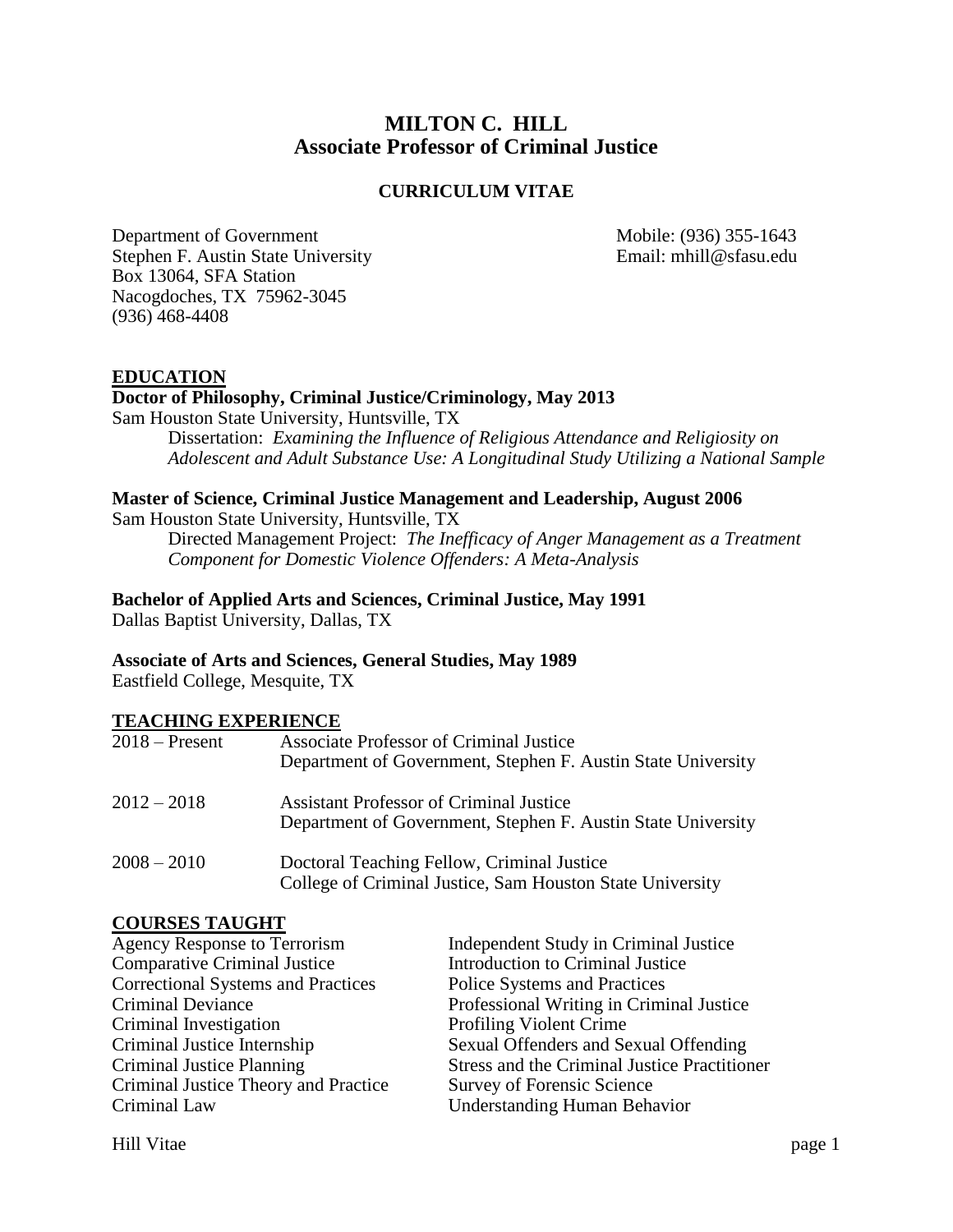# **MILTON C. HILL Associate Professor of Criminal Justice**

#### **CURRICULUM VITAE**

Department of Government Mobile: (936) 355-1643 Stephen F. Austin State University Email: mhill@sfasu.edu Box 13064, SFA Station Nacogdoches, TX 75962-3045 (936) 468-4408

#### **EDUCATION**

#### **Doctor of Philosophy, Criminal Justice/Criminology, May 2013**

Sam Houston State University, Huntsville, TX

Dissertation: *Examining the Influence of Religious Attendance and Religiosity on Adolescent and Adult Substance Use: A Longitudinal Study Utilizing a National Sample*

#### **Master of Science, Criminal Justice Management and Leadership, August 2006**

Sam Houston State University, Huntsville, TX

Directed Management Project: *The Inefficacy of Anger Management as a Treatment Component for Domestic Violence Offenders: A Meta-Analysis*

# **Bachelor of Applied Arts and Sciences, Criminal Justice, May 1991**

Dallas Baptist University, Dallas, TX

#### **Associate of Arts and Sciences, General Studies, May 1989**

Eastfield College, Mesquite, TX

#### **TEACHING EXPERIENCE**

| $2018 -$ Present | <b>Associate Professor of Criminal Justice</b><br>Department of Government, Stephen F. Austin State University |
|------------------|----------------------------------------------------------------------------------------------------------------|
| $2012 - 2018$    | <b>Assistant Professor of Criminal Justice</b><br>Department of Government, Stephen F. Austin State University |
| $2008 - 2010$    | Doctoral Teaching Fellow, Criminal Justice<br>College of Criminal Justice, Sam Houston State University        |

#### **COURSES TAUGHT**

| <b>Agency Response to Terrorism</b>       | Independent Study in Criminal Justice               |
|-------------------------------------------|-----------------------------------------------------|
| <b>Comparative Criminal Justice</b>       | Introduction to Criminal Justice                    |
| <b>Correctional Systems and Practices</b> | Police Systems and Practices                        |
| <b>Criminal Deviance</b>                  | Professional Writing in Criminal Justice            |
| Criminal Investigation                    | <b>Profiling Violent Crime</b>                      |
| Criminal Justice Internship               | Sexual Offenders and Sexual Offending               |
| Criminal Justice Planning                 | <b>Stress and the Criminal Justice Practitioner</b> |
| Criminal Justice Theory and Practice      | Survey of Forensic Science                          |
| Criminal Law                              | <b>Understanding Human Behavior</b>                 |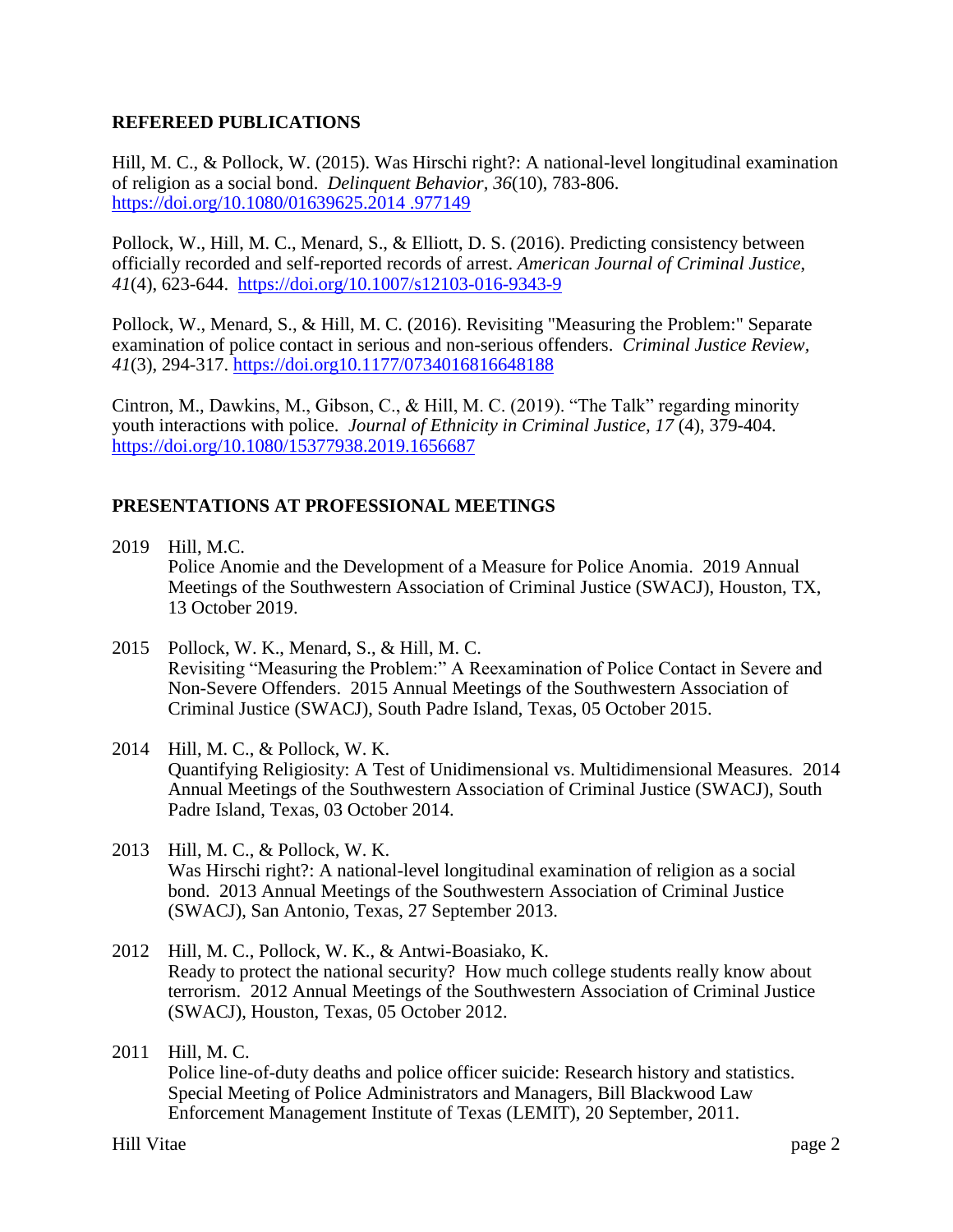#### **REFEREED PUBLICATIONS**

Hill, M. C., & Pollock, W. (2015). Was Hirschi right?: A national-level longitudinal examination of religion as a social bond. *Delinquent Behavior, 36*(10), 783-806. [https://doi.org/10.1080/01639625.2014 .977149](https://doi.org/10.1080/01639625.2014%20.977149) 

Pollock, W., Hill, M. C., Menard, S., & Elliott, D. S. (2016). Predicting consistency between officially recorded and self-reported records of arrest. *American Journal of Criminal Justice*, *41*(4), 623-644. <https://doi.org/10.1007/s12103-016-9343-9>

Pollock, W., Menard, S., & Hill, M. C. (2016). Revisiting "Measuring the Problem:" Separate examination of police contact in serious and non-serious offenders. *Criminal Justice Review, 41*(3), 294-317. <https://doi.org10.1177/0734016816648188>

Cintron, M., Dawkins, M., Gibson, C., & Hill, M. C. (2019). "The Talk" regarding minority youth interactions with police. *Journal of Ethnicity in Criminal Justice, 17* (4), 379-404. <https://doi.org/10.1080/15377938.2019.1656687>

# **PRESENTATIONS AT PROFESSIONAL MEETINGS**

- 2019 Hill, M.C. Police Anomie and the Development of a Measure for Police Anomia. 2019 Annual Meetings of the Southwestern Association of Criminal Justice (SWACJ), Houston, TX, 13 October 2019.
- 2015 Pollock, W. K., Menard, S., & Hill, M. C. Revisiting "Measuring the Problem:" A Reexamination of Police Contact in Severe and Non-Severe Offenders. 2015 Annual Meetings of the Southwestern Association of Criminal Justice (SWACJ), South Padre Island, Texas, 05 October 2015.
- 2014 Hill, M. C., & Pollock, W. K. Quantifying Religiosity: A Test of Unidimensional vs. Multidimensional Measures. 2014 Annual Meetings of the Southwestern Association of Criminal Justice (SWACJ), South Padre Island, Texas, 03 October 2014.
- 2013 Hill, M. C., & Pollock, W. K. Was Hirschi right?: A national-level longitudinal examination of religion as a social bond. 2013 Annual Meetings of the Southwestern Association of Criminal Justice (SWACJ), San Antonio, Texas, 27 September 2013.
- 2012 Hill, M. C., Pollock, W. K., & Antwi-Boasiako, K. Ready to protect the national security? How much college students really know about terrorism. 2012 Annual Meetings of the Southwestern Association of Criminal Justice (SWACJ), Houston, Texas, 05 October 2012.
- 2011 Hill, M. C. Police line-of-duty deaths and police officer suicide: Research history and statistics. Special Meeting of Police Administrators and Managers, Bill Blackwood Law Enforcement Management Institute of Texas (LEMIT), 20 September, 2011.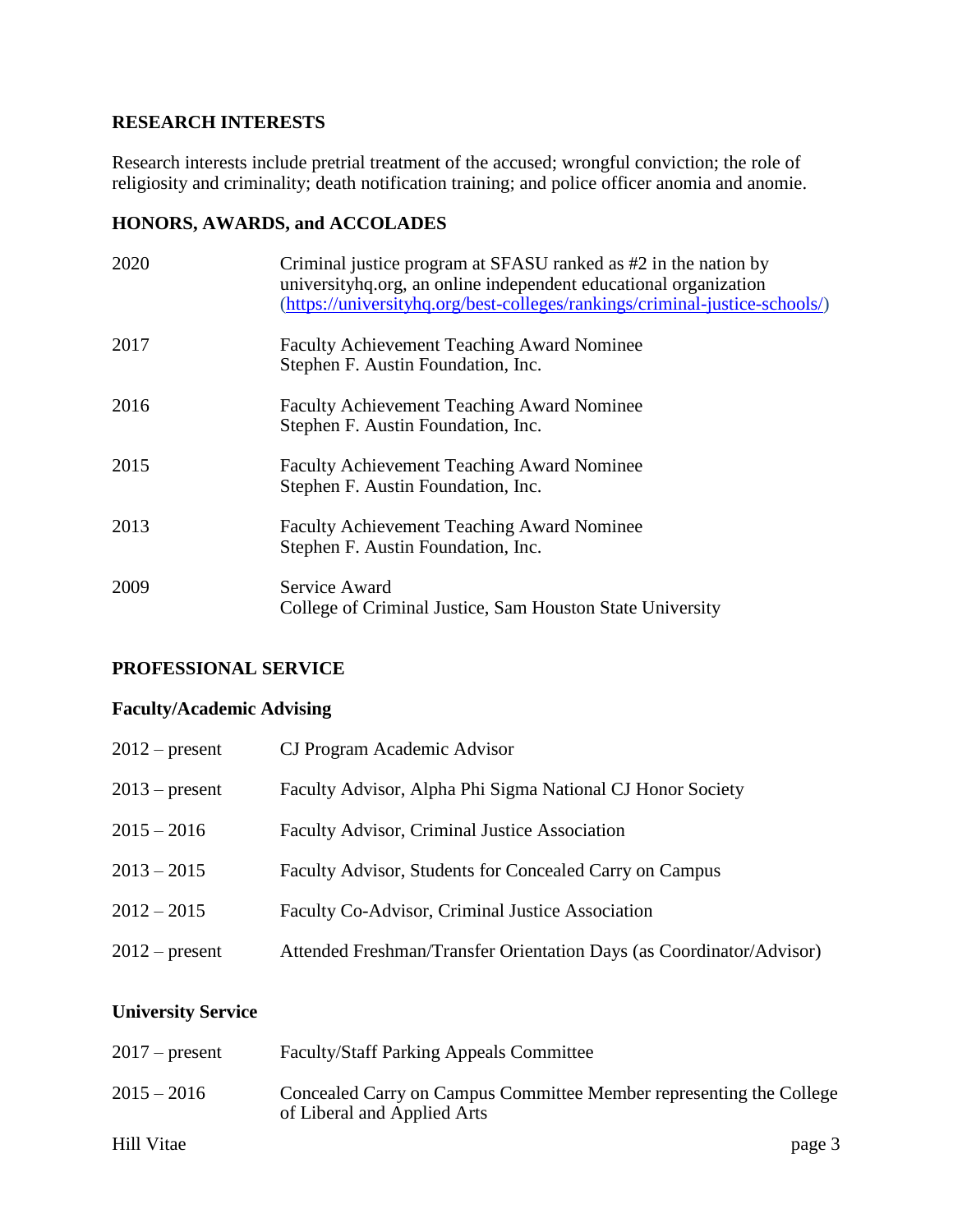## **RESEARCH INTERESTS**

Research interests include pretrial treatment of the accused; wrongful conviction; the role of religiosity and criminality; death notification training; and police officer anomia and anomie.

## **HONORS, AWARDS, and ACCOLADES**

| 2020 | Criminal justice program at SFASU ranked as #2 in the nation by<br>university hq.org, an online independent educational organization<br>(https://universityhq.org/best-colleges/rankings/criminal-justice-schools/) |
|------|---------------------------------------------------------------------------------------------------------------------------------------------------------------------------------------------------------------------|
| 2017 | <b>Faculty Achievement Teaching Award Nominee</b><br>Stephen F. Austin Foundation, Inc.                                                                                                                             |
| 2016 | <b>Faculty Achievement Teaching Award Nominee</b><br>Stephen F. Austin Foundation, Inc.                                                                                                                             |
| 2015 | <b>Faculty Achievement Teaching Award Nominee</b><br>Stephen F. Austin Foundation, Inc.                                                                                                                             |
| 2013 | <b>Faculty Achievement Teaching Award Nominee</b><br>Stephen F. Austin Foundation, Inc.                                                                                                                             |
| 2009 | Service Award<br>College of Criminal Justice, Sam Houston State University                                                                                                                                          |

# **PROFESSIONAL SERVICE**

# **Faculty/Academic Advising**

| $2012$ – present | CJ Program Academic Advisor                                          |
|------------------|----------------------------------------------------------------------|
| $2013$ – present | Faculty Advisor, Alpha Phi Sigma National CJ Honor Society           |
| $2015 - 2016$    | Faculty Advisor, Criminal Justice Association                        |
| $2013 - 2015$    | Faculty Advisor, Students for Concealed Carry on Campus              |
| $2012 - 2015$    | Faculty Co-Advisor, Criminal Justice Association                     |
| $2012$ – present | Attended Freshman/Transfer Orientation Days (as Coordinator/Advisor) |

# **University Service**

| $2017$ – present | <b>Faculty/Staff Parking Appeals Committee</b>                                                     |
|------------------|----------------------------------------------------------------------------------------------------|
| $2015 - 2016$    | Concealed Carry on Campus Committee Member representing the College<br>of Liberal and Applied Arts |
| Hill Vitae       | page 3                                                                                             |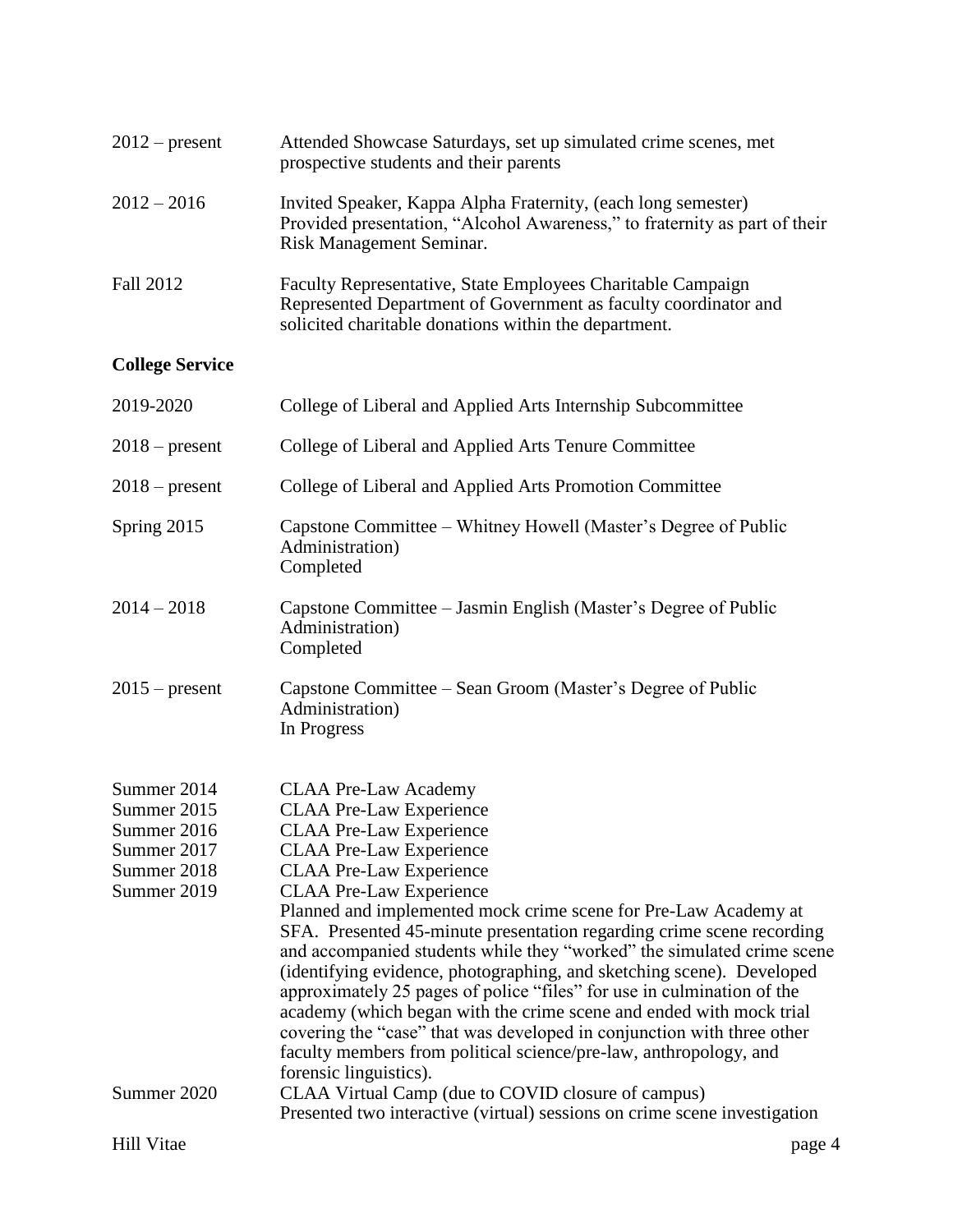| $2012$ – present                                                                       | Attended Showcase Saturdays, set up simulated crime scenes, met<br>prospective students and their parents                                                                                                                                                                                                                                                                                                                                                                                                                                                                                                                                                                                                                                                                                                                      |
|----------------------------------------------------------------------------------------|--------------------------------------------------------------------------------------------------------------------------------------------------------------------------------------------------------------------------------------------------------------------------------------------------------------------------------------------------------------------------------------------------------------------------------------------------------------------------------------------------------------------------------------------------------------------------------------------------------------------------------------------------------------------------------------------------------------------------------------------------------------------------------------------------------------------------------|
| $2012 - 2016$                                                                          | Invited Speaker, Kappa Alpha Fraternity, (each long semester)<br>Provided presentation, "Alcohol Awareness," to fraternity as part of their<br>Risk Management Seminar.                                                                                                                                                                                                                                                                                                                                                                                                                                                                                                                                                                                                                                                        |
| Fall 2012                                                                              | Faculty Representative, State Employees Charitable Campaign<br>Represented Department of Government as faculty coordinator and<br>solicited charitable donations within the department.                                                                                                                                                                                                                                                                                                                                                                                                                                                                                                                                                                                                                                        |
| <b>College Service</b>                                                                 |                                                                                                                                                                                                                                                                                                                                                                                                                                                                                                                                                                                                                                                                                                                                                                                                                                |
| 2019-2020                                                                              | College of Liberal and Applied Arts Internship Subcommittee                                                                                                                                                                                                                                                                                                                                                                                                                                                                                                                                                                                                                                                                                                                                                                    |
| $2018$ – present                                                                       | College of Liberal and Applied Arts Tenure Committee                                                                                                                                                                                                                                                                                                                                                                                                                                                                                                                                                                                                                                                                                                                                                                           |
| $2018$ – present                                                                       | College of Liberal and Applied Arts Promotion Committee                                                                                                                                                                                                                                                                                                                                                                                                                                                                                                                                                                                                                                                                                                                                                                        |
| Spring 2015                                                                            | Capstone Committee – Whitney Howell (Master's Degree of Public<br>Administration)<br>Completed                                                                                                                                                                                                                                                                                                                                                                                                                                                                                                                                                                                                                                                                                                                                 |
| $2014 - 2018$                                                                          | Capstone Committee – Jasmin English (Master's Degree of Public<br>Administration)<br>Completed                                                                                                                                                                                                                                                                                                                                                                                                                                                                                                                                                                                                                                                                                                                                 |
| $2015$ – present                                                                       | Capstone Committee – Sean Groom (Master's Degree of Public<br>Administration)<br>In Progress                                                                                                                                                                                                                                                                                                                                                                                                                                                                                                                                                                                                                                                                                                                                   |
| Summer 2014<br>Summer 2015<br>Summer 2016<br>Summer 2017<br>Summer 2018<br>Summer 2019 | <b>CLAA Pre-Law Academy</b><br><b>CLAA Pre-Law Experience</b><br><b>CLAA Pre-Law Experience</b><br><b>CLAA Pre-Law Experience</b><br><b>CLAA Pre-Law Experience</b><br><b>CLAA Pre-Law Experience</b><br>Planned and implemented mock crime scene for Pre-Law Academy at<br>SFA. Presented 45-minute presentation regarding crime scene recording<br>and accompanied students while they "worked" the simulated crime scene<br>(identifying evidence, photographing, and sketching scene). Developed<br>approximately 25 pages of police "files" for use in culmination of the<br>academy (which began with the crime scene and ended with mock trial<br>covering the "case" that was developed in conjunction with three other<br>faculty members from political science/pre-law, anthropology, and<br>forensic linguistics). |
| Summer 2020                                                                            | CLAA Virtual Camp (due to COVID closure of campus)<br>Presented two interactive (virtual) sessions on crime scene investigation                                                                                                                                                                                                                                                                                                                                                                                                                                                                                                                                                                                                                                                                                                |
| <b>Hill Vitae</b>                                                                      | page 4                                                                                                                                                                                                                                                                                                                                                                                                                                                                                                                                                                                                                                                                                                                                                                                                                         |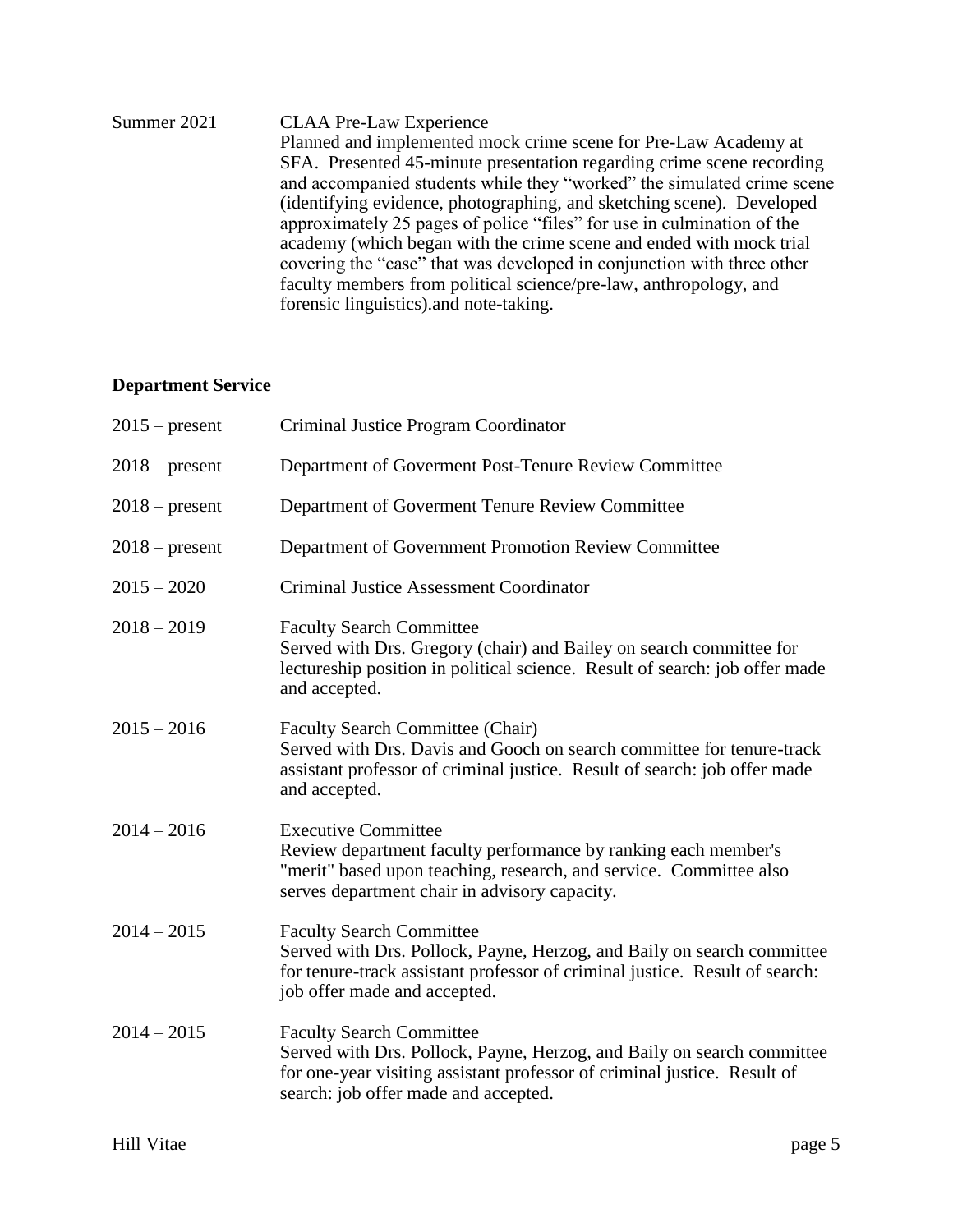| Summer 2021 | <b>CLAA Pre-Law Experience</b>                                         |
|-------------|------------------------------------------------------------------------|
|             | Planned and implemented mock crime scene for Pre-Law Academy at        |
|             | SFA. Presented 45-minute presentation regarding crime scene recording  |
|             | and accompanied students while they "worked" the simulated crime scene |
|             | (identifying evidence, photographing, and sketching scene). Developed  |
|             | approximately 25 pages of police "files" for use in culmination of the |
|             | academy (which began with the crime scene and ended with mock trial    |
|             | covering the "case" that was developed in conjunction with three other |
|             | faculty members from political science/pre-law, anthropology, and      |
|             | forensic linguistics) and note-taking.                                 |

# **Department Service**

| $2015$ – present | Criminal Justice Program Coordinator                                                                                                                                                                                          |
|------------------|-------------------------------------------------------------------------------------------------------------------------------------------------------------------------------------------------------------------------------|
| $2018$ – present | Department of Goverment Post-Tenure Review Committee                                                                                                                                                                          |
| $2018$ – present | Department of Goverment Tenure Review Committee                                                                                                                                                                               |
| $2018$ – present | Department of Government Promotion Review Committee                                                                                                                                                                           |
| $2015 - 2020$    | <b>Criminal Justice Assessment Coordinator</b>                                                                                                                                                                                |
| $2018 - 2019$    | <b>Faculty Search Committee</b><br>Served with Drs. Gregory (chair) and Bailey on search committee for<br>lectureship position in political science. Result of search: job offer made<br>and accepted.                        |
| $2015 - 2016$    | <b>Faculty Search Committee (Chair)</b><br>Served with Drs. Davis and Gooch on search committee for tenure-track<br>assistant professor of criminal justice. Result of search: job offer made<br>and accepted.                |
| $2014 - 2016$    | <b>Executive Committee</b><br>Review department faculty performance by ranking each member's<br>"merit" based upon teaching, research, and service. Committee also<br>serves department chair in advisory capacity.           |
| $2014 - 2015$    | <b>Faculty Search Committee</b><br>Served with Drs. Pollock, Payne, Herzog, and Baily on search committee<br>for tenure-track assistant professor of criminal justice. Result of search:<br>job offer made and accepted.      |
| $2014 - 2015$    | <b>Faculty Search Committee</b><br>Served with Drs. Pollock, Payne, Herzog, and Baily on search committee<br>for one-year visiting assistant professor of criminal justice. Result of<br>search: job offer made and accepted. |
|                  |                                                                                                                                                                                                                               |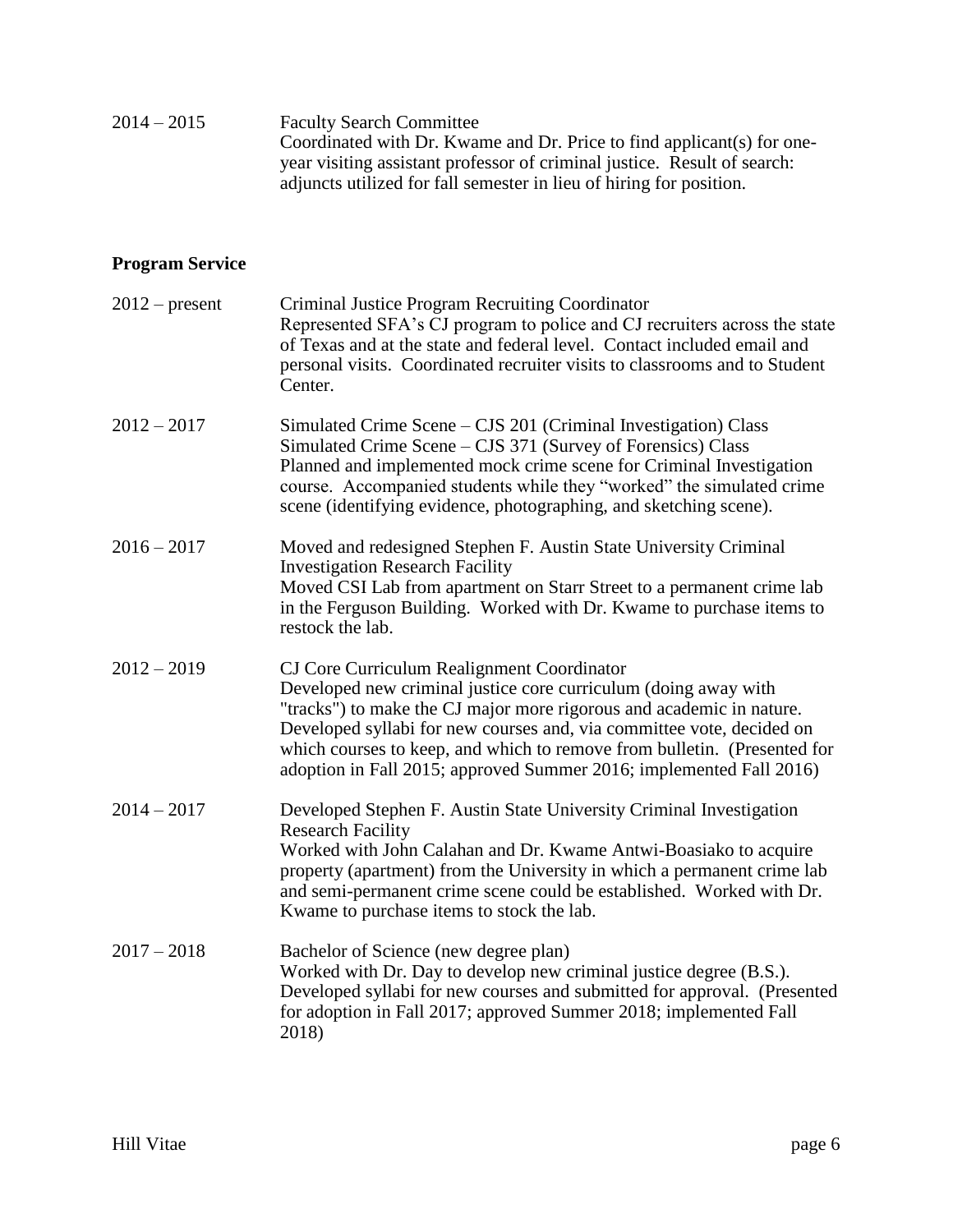| $2014 - 2015$ | <b>Faculty Search Committee</b>                                          |
|---------------|--------------------------------------------------------------------------|
|               | Coordinated with Dr. Kwame and Dr. Price to find applicant(s) for one-   |
|               | year visiting assistant professor of criminal justice. Result of search: |
|               | adjuncts utilized for fall semester in lieu of hiring for position.      |

# **Program Service**

|               | $2012$ – present | Criminal Justice Program Recruiting Coordinator<br>Represented SFA's CJ program to police and CJ recruiters across the state<br>of Texas and at the state and federal level. Contact included email and<br>personal visits. Coordinated recruiter visits to classrooms and to Student<br>Center.                                                                                                                  |
|---------------|------------------|-------------------------------------------------------------------------------------------------------------------------------------------------------------------------------------------------------------------------------------------------------------------------------------------------------------------------------------------------------------------------------------------------------------------|
| $2012 - 2017$ |                  | Simulated Crime Scene – CJS 201 (Criminal Investigation) Class<br>Simulated Crime Scene – CJS 371 (Survey of Forensics) Class<br>Planned and implemented mock crime scene for Criminal Investigation<br>course. Accompanied students while they "worked" the simulated crime<br>scene (identifying evidence, photographing, and sketching scene).                                                                 |
| $2016 - 2017$ |                  | Moved and redesigned Stephen F. Austin State University Criminal<br><b>Investigation Research Facility</b><br>Moved CSI Lab from apartment on Starr Street to a permanent crime lab<br>in the Ferguson Building. Worked with Dr. Kwame to purchase items to<br>restock the lab.                                                                                                                                   |
| $2012 - 2019$ |                  | CJ Core Curriculum Realignment Coordinator<br>Developed new criminal justice core curriculum (doing away with<br>"tracks") to make the CJ major more rigorous and academic in nature.<br>Developed syllabi for new courses and, via committee vote, decided on<br>which courses to keep, and which to remove from bulletin. (Presented for<br>adoption in Fall 2015; approved Summer 2016; implemented Fall 2016) |
| $2014 - 2017$ |                  | Developed Stephen F. Austin State University Criminal Investigation<br><b>Research Facility</b><br>Worked with John Calahan and Dr. Kwame Antwi-Boasiako to acquire<br>property (apartment) from the University in which a permanent crime lab<br>and semi-permanent crime scene could be established. Worked with Dr.<br>Kwame to purchase items to stock the lab.                                               |
| $2017 - 2018$ |                  | Bachelor of Science (new degree plan)<br>Worked with Dr. Day to develop new criminal justice degree (B.S.).<br>Developed syllabi for new courses and submitted for approval. (Presented<br>for adoption in Fall 2017; approved Summer 2018; implemented Fall<br>2018)                                                                                                                                             |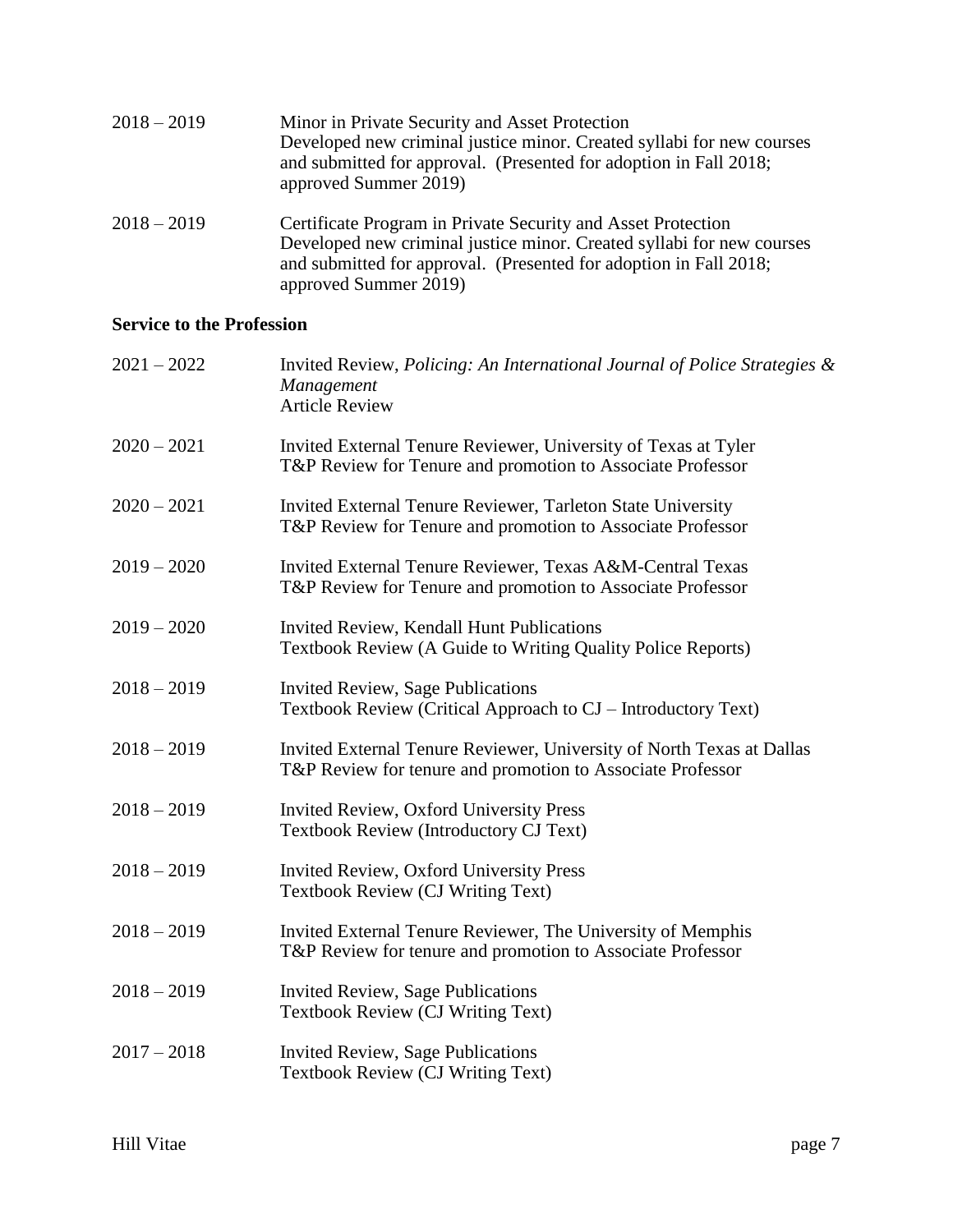| $2018 - 2019$ | Minor in Private Security and Asset Protection<br>Developed new criminal justice minor. Created syllabi for new courses<br>and submitted for approval. (Presented for adoption in Fall 2018;<br>approved Summer 2019)               |
|---------------|-------------------------------------------------------------------------------------------------------------------------------------------------------------------------------------------------------------------------------------|
| $2018 - 2019$ | Certificate Program in Private Security and Asset Protection<br>Developed new criminal justice minor. Created syllabi for new courses<br>and submitted for approval. (Presented for adoption in Fall 2018;<br>approved Summer 2019) |

# **Service to the Profession**

| $2021 - 2022$ | Invited Review, Policing: An International Journal of Police Strategies $\&$<br>Management<br><b>Article Review</b>                 |
|---------------|-------------------------------------------------------------------------------------------------------------------------------------|
| $2020 - 2021$ | Invited External Tenure Reviewer, University of Texas at Tyler<br>T&P Review for Tenure and promotion to Associate Professor        |
| $2020 - 2021$ | Invited External Tenure Reviewer, Tarleton State University<br>T&P Review for Tenure and promotion to Associate Professor           |
| $2019 - 2020$ | Invited External Tenure Reviewer, Texas A&M-Central Texas<br>T&P Review for Tenure and promotion to Associate Professor             |
| $2019 - 2020$ | Invited Review, Kendall Hunt Publications<br>Textbook Review (A Guide to Writing Quality Police Reports)                            |
| $2018 - 2019$ | <b>Invited Review, Sage Publications</b><br>Textbook Review (Critical Approach to CJ – Introductory Text)                           |
| $2018 - 2019$ | Invited External Tenure Reviewer, University of North Texas at Dallas<br>T&P Review for tenure and promotion to Associate Professor |
| $2018 - 2019$ | Invited Review, Oxford University Press<br><b>Textbook Review (Introductory CJ Text)</b>                                            |
| $2018 - 2019$ | Invited Review, Oxford University Press<br><b>Textbook Review (CJ Writing Text)</b>                                                 |
| $2018 - 2019$ | Invited External Tenure Reviewer, The University of Memphis<br>T&P Review for tenure and promotion to Associate Professor           |
| $2018 - 2019$ | <b>Invited Review, Sage Publications</b><br><b>Textbook Review (CJ Writing Text)</b>                                                |
| $2017 - 2018$ | <b>Invited Review, Sage Publications</b><br>Textbook Review (CJ Writing Text)                                                       |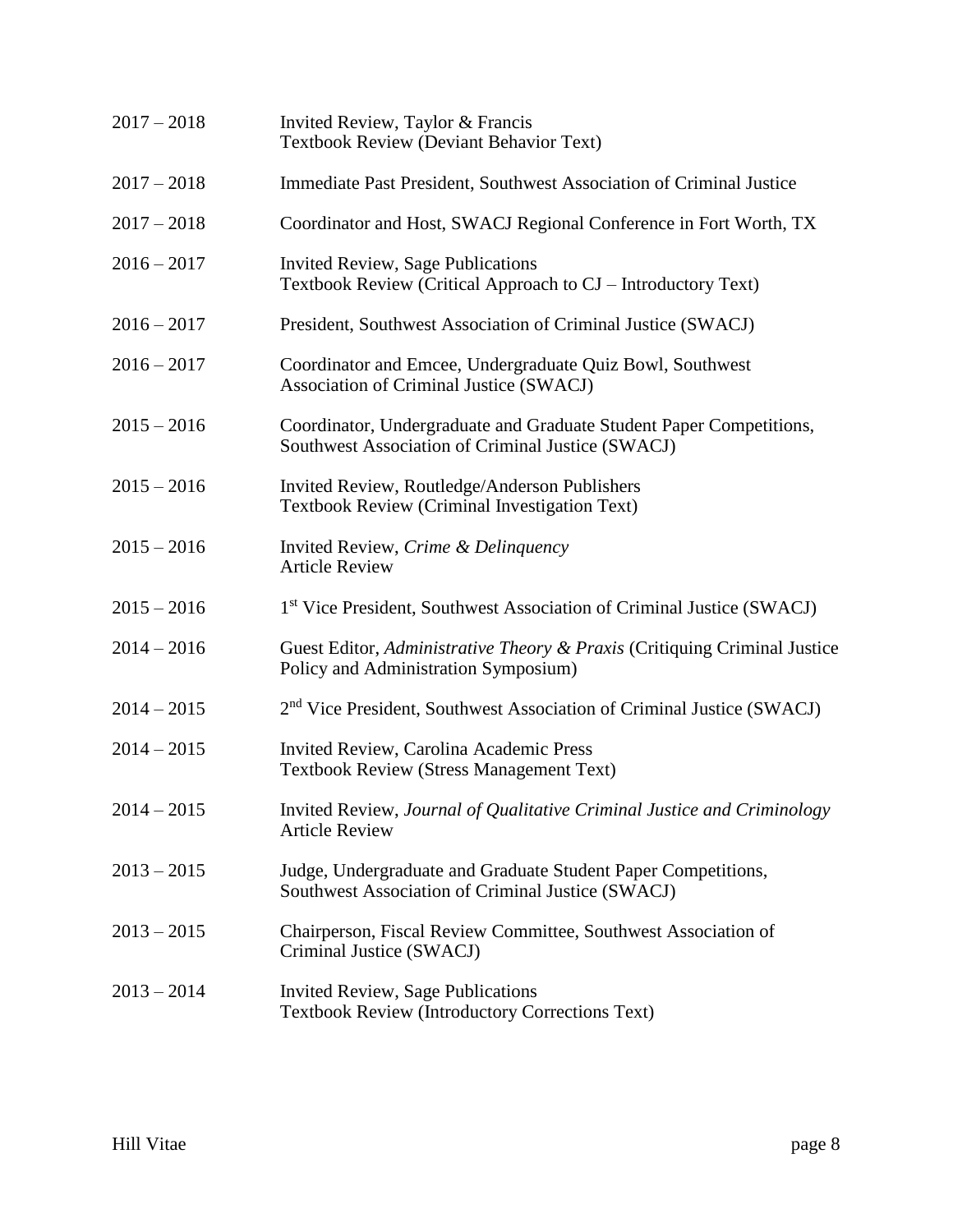| $2017 - 2018$ | Invited Review, Taylor & Francis<br><b>Textbook Review (Deviant Behavior Text)</b>                                       |
|---------------|--------------------------------------------------------------------------------------------------------------------------|
| $2017 - 2018$ | Immediate Past President, Southwest Association of Criminal Justice                                                      |
| $2017 - 2018$ | Coordinator and Host, SWACJ Regional Conference in Fort Worth, TX                                                        |
| $2016 - 2017$ | <b>Invited Review, Sage Publications</b><br>Textbook Review (Critical Approach to CJ – Introductory Text)                |
| $2016 - 2017$ | President, Southwest Association of Criminal Justice (SWACJ)                                                             |
| $2016 - 2017$ | Coordinator and Emcee, Undergraduate Quiz Bowl, Southwest<br>Association of Criminal Justice (SWACJ)                     |
| $2015 - 2016$ | Coordinator, Undergraduate and Graduate Student Paper Competitions,<br>Southwest Association of Criminal Justice (SWACJ) |
| $2015 - 2016$ | Invited Review, Routledge/Anderson Publishers<br>Textbook Review (Criminal Investigation Text)                           |
| $2015 - 2016$ | Invited Review, Crime & Delinquency<br><b>Article Review</b>                                                             |
| $2015 - 2016$ | 1 <sup>st</sup> Vice President, Southwest Association of Criminal Justice (SWACJ)                                        |
| $2014 - 2016$ | Guest Editor, Administrative Theory & Praxis (Critiquing Criminal Justice<br>Policy and Administration Symposium)        |
| $2014 - 2015$ | 2 <sup>nd</sup> Vice President, Southwest Association of Criminal Justice (SWACJ)                                        |
| $2014 - 2015$ | Invited Review, Carolina Academic Press<br><b>Textbook Review (Stress Management Text)</b>                               |
| $2014 - 2015$ | Invited Review, Journal of Qualitative Criminal Justice and Criminology<br><b>Article Review</b>                         |
| $2013 - 2015$ | Judge, Undergraduate and Graduate Student Paper Competitions,<br>Southwest Association of Criminal Justice (SWACJ)       |
| $2013 - 2015$ | Chairperson, Fiscal Review Committee, Southwest Association of<br>Criminal Justice (SWACJ)                               |
| $2013 - 2014$ | <b>Invited Review, Sage Publications</b><br><b>Textbook Review (Introductory Corrections Text)</b>                       |